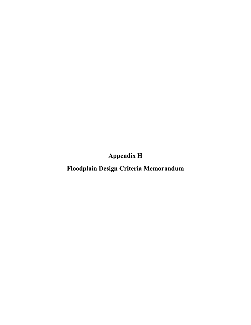**Appendix H**

**Floodplain Design Criteria Memorandum**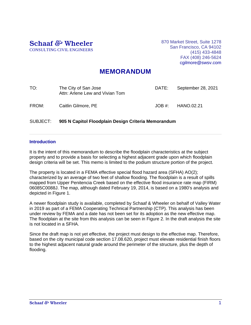Schaaf *&* Wheeler CONSULTING CIVIL ENGINEERS 870 Market Street, Suite 1278 San Francisco, CA 94102 (415) 433-4848 FAX (408) 246-5624 cgilmore@swsv.com

## **MEMORANDUM**

| TO:   | The City of San Jose<br>Attn: Arlene Lew and Vivian Tom | DATE:  | September 28, 2021 |
|-------|---------------------------------------------------------|--------|--------------------|
| FROM: | Caitlin Gilmore, PE                                     | JOB #: | HANO.02.21         |

SUBJECT: **905 N Capitol Floodplain Design Criteria Memorandum**

## **Introduction**

It is the intent of this memorandum to describe the floodplain characteristics at the subject property and to provide a basis for selecting a highest adjacent grade upon which floodplain design criteria will be set. This memo is limited to the podium structure portion of the project.

The property is located in a FEMA effective special flood hazard area (SFHA) AO(2); characterized by an average of two feet of shallow flooding. The floodplain is a result of spills mapped from Upper Penitencia Creek based on the effective flood insurance rate map (FIRM) 06085C0088J. The map, although dated February 19, 2014, is based on a 1980's analysis and depicted in Figure 1.

A newer floodplain study is available, completed by Schaaf & Wheeler on behalf of Valley Water in 2019 as part of a FEMA Cooperating Technical Partnership (CTP). This analysis has been under review by FEMA and a date has not been set for its adoption as the new effective map. The floodplain at the site from this analysis can be seen in Figure 2. In the draft analysis the site is not located in a SFHA.

Since the draft map is not yet effective, the project must design to the effective map. Therefore, based on the city municipal code section 17.08.620, project must elevate residential finish floors to the highest adjacent natural grade around the perimeter of the structure, plus the depth of flooding.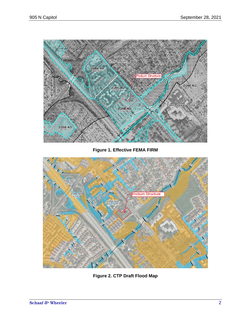

**Figure 1. Effective FEMA FIRM**



**Figure 2. CTP Draft Flood Map**